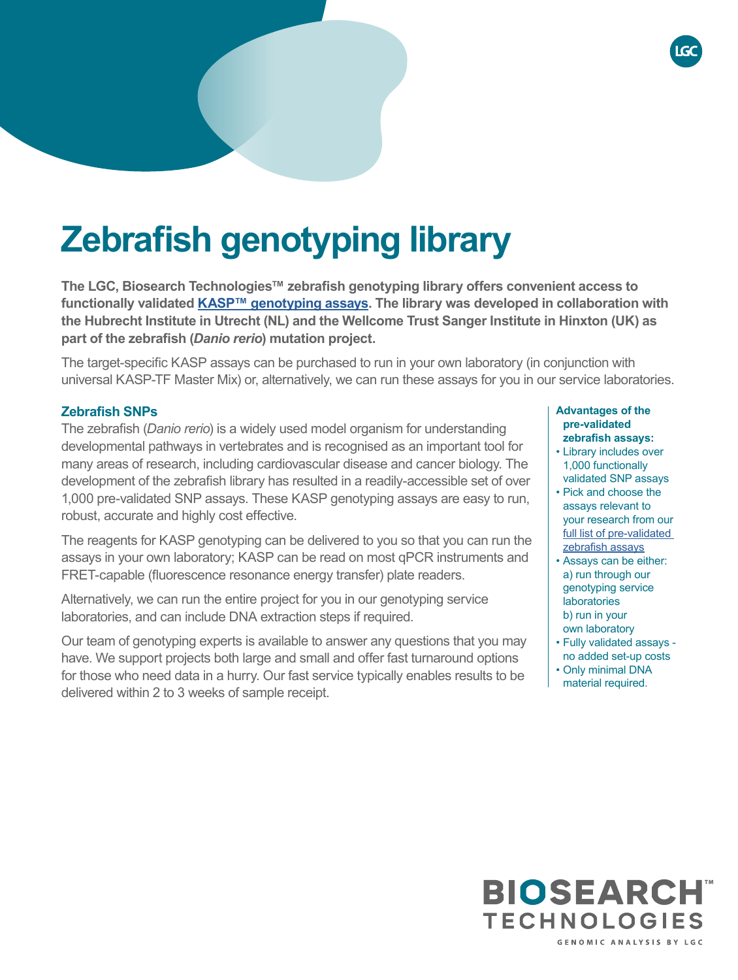# **Zebrafish genotyping library**

**The LGC, Biosearch Technologies™ zebrafish genotyping library offers convenient access to functionally validated [KASP™ genotyping assays](https://bit.ly/3GpWdVn). The library was developed in collaboration with the Hubrecht Institute in Utrecht (NL) and the Wellcome Trust Sanger Institute in Hinxton (UK) as part of the zebrafish (***Danio rerio***) mutation project.**

The target-specific KASP assays can be purchased to run in your own laboratory (in conjunction with universal KASP-TF Master Mix) or, alternatively, we can run these assays for you in our service laboratories.

### **Zebrafish SNPs**

The zebrafish (*Danio rerio*) is a widely used model organism for understanding developmental pathways in vertebrates and is recognised as an important tool for many areas of research, including cardiovascular disease and cancer biology. The development of the zebrafish library has resulted in a readily-accessible set of over 1,000 pre-validated SNP assays. These KASP genotyping assays are easy to run, robust, accurate and highly cost effective.

The reagents for KASP genotyping can be delivered to you so that you can run the assays in your own laboratory; KASP can be read on most qPCR instruments and FRET-capable (fluorescence resonance energy transfer) plate readers.

Alternatively, we can run the entire project for you in our genotyping service laboratories, and can include DNA extraction steps if required.

Our team of genotyping experts is available to answer any questions that you may have. We support projects both large and small and offer fast turnaround options for those who need data in a hurry. Our fast service typically enables results to be delivered within 2 to 3 weeks of sample receipt.

#### **Advantages of the pre-validated zebrafish assays:**

- Library includes over 1,000 functionally validated SNP assays
- Pick and choose the assays relevant to your research from our [full list of pre-validated](https://bit.ly/3lLoiPb)  [zebrafish assays](https://bit.ly/3lLoiPb)
- Assays can be either: a) run through our genotyping service laboratories b) run in your own laboratory
- Fully validated assays no added set-up costs
- Only minimal DNA
- material required.